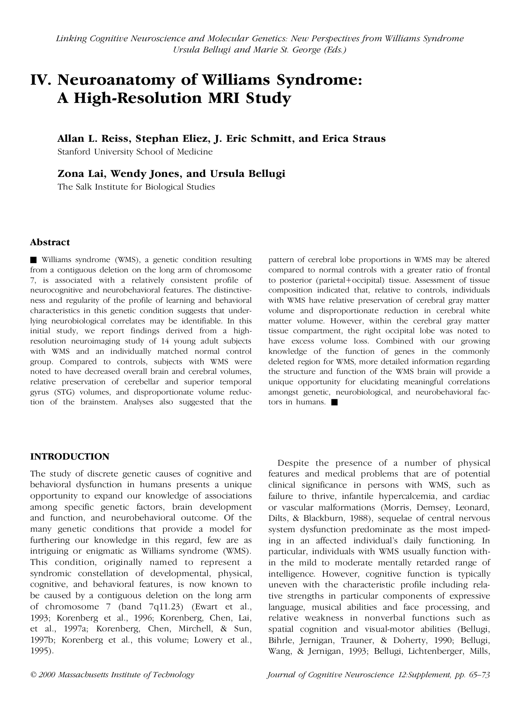*Linking Cognitive Neuroscience and Molecular Genetics: New Perspectives from Williams Syndrome Ursula Bellugi and Marie St. George (Eds.)*

# **IV. Neuroanatomy of Williams Syndrome: A High-Resolution MRI Study**

## **Allan L. Reiss, Stephan Eliez, J. Eric Schmitt, and Erica Straus**

Stanford University School of Medicine

# **Zona Lai, Wendy Jones, and Ursula Bellugi**

The Salk Institute for Biological Studies

### **Abstract**

& Williams syndrome (WMS), a genetic condition resulting from a contiguous deletion on the long arm of chromosome 7, is associated with a relatively consistent profile of neurocognitive and neurobehavioral features. The distinctive ness and regularity of the profile of learning and behavioral characteristics in this genetic condition suggests that underlying neurobiological correlates may be identifiable. In this initial study, we report findings derived from a highresolution neuroimaging study of 14 young adult subjects with WMS and an individually matched normal control group. Compared to controls, subjects with WMS were noted to have decreased overall brain and cerebral volumes, relative preservation of cerebellar and superior temporal gyrus (STG) volumes, and disproportionate volume reduction of the brainstem. Analyses also suggested that the

pattern of cerebral lobe proportions in WMS may be altered compared to normal controls with a greater ratio of frontal to posterior (parietal+occipital) tissue. Assessment of tissue composition indicated that, relative to controls, individuals with WMS have relative preservation of cerebral gray matter volume and disproportionate reduction in cerebral white matter volume. However, within the cerebral gray matter tissue compartment, the right occipital lobe was noted to have excess volume loss. Combined with our growing knowledge of the function of genes in the commonly deleted region for WMS, more detailed information regarding the structure and function of the WMS brain will provide a unique opportunity for elucidating meaningful correlations amongst genetic, neurobiological, and neurobehavioral factors in humans.  $\blacksquare$ 

## **INTRODUCTION**

The study of discrete genetic causes of cognitive and behavioral dysfunction in humans presents a unique opportunity to expand our knowledge of associations among specific genetic factors, brain development and function, and neurobehavioral outcome. Of the many genetic conditions that provide a model for furthering our knowledge in this regard, few are as intriguing or enigmatic as Williams syndrome (WMS). This condition, originally named to represent a syndromic constellation of developmental, physical, cognitive, and behavioral features, is now known to be caused by a contiguous deletion on the long arm of chromosome 7 (band 7q11.23) (Ewart et al., 1993; Korenberg et al., 1996; Korenberg, Chen, Lai, et al., 1997a; Korenberg, Chen, Mirchell, & Sun, 1997b; Korenberg et al., this volume; Lowery et al., 1995).

Despite the presence of a number of physical features and medical problems that are of potential clinical significance in persons with WMS, such as failure to thrive, infantile hypercalcemia, and cardiac or vascular malformations (Morris, Demsey, Leonard, Dilts, & Blackburn, 1988), sequelae of central nervous system dysfunction predominate as the most impeding in an affected individual's daily functioning. In particular, individuals with WMS usually function within the mild to moderate mentally retarded range of intelligence. However, cognitive function is typically uneven with the characteristic profile including relative strengths in particular components of expressive language, musical abilities and face processing, and relative weakness in nonverbal functions such as spatial cognition and visual-motor abilities (Bellugi, Bihrle, Jernigan, Trauner, & Doherty, 1990; Bellugi, Wang, & Jernigan, 1993; Bellugi, Lichtenberger, Mills,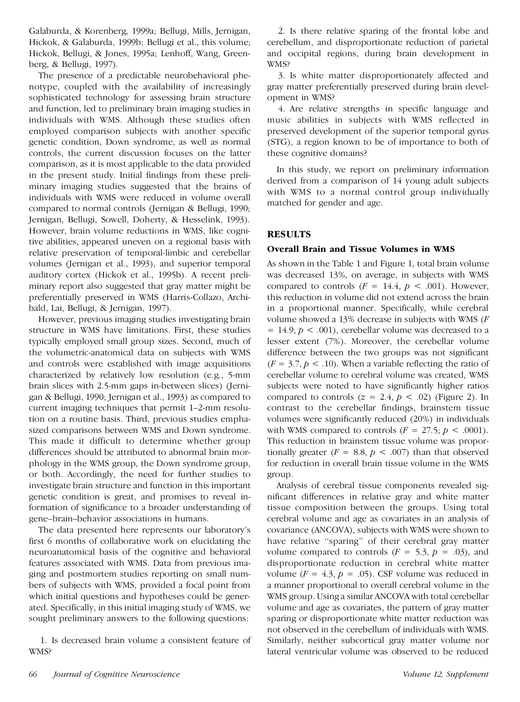Galaburda, & Korenberg, 1999a; Bellugi, Mills, Jernigan, Hickok, & Galaburda, 1999b; Bellugi et al., this volume; Hickok, Bellugi, & Jones, 1995a; Lenhoff, Wang, Greenberg, & Bellugi, 1997).

The presence of a predictable neurobehavioral phenotype, coupled with the availability of increasingly sophisticated technology for assessing brain structure and function, led to preliminary brain imaging studies in individuals with WMS. Although these studies often employed comparison subjects with another specific genetic condition, Down syndrome, as well as normal controls, the current discussion focuses on the latter comparison, as it is most applicable to the data provided in the present study. Initial findings from these preliminary imaging studies suggested that the brains of individuals with WMS were reduced in volume overall compared to normal controls (Jernigan & Bellugi, 1990; Jernigan, Bellugi, Sowell, Doherty, & Hesselink, 1993). However, brain volume reductions in WMS, like cognitive abilities, appeared uneven on a regional basis with relative preservation of temporal-limbic and cerebellar volumes (Jernigan et al., 1993), and superior temporal auditory cortex (Hickok et al., 1995b). A recent preliminary report also suggested that gray matter might be preferentially preserved in WMS (Harris-Collazo, Archibald, Lai, Bellugi, & Jernigan, 1997).

However, previous imaging studies investigating brain structure in WMS have limitations. First, these studies typically employed small group sizes. Second, much of the volumetric-anatomical data on subjects with WMS and controls were established with image acquisitions characterized by relatively low resolution (e.g., 5-mm brain slices with 2.5-mm gaps in-between slices) (Jernigan & Bellugi, 1990; Jernigan et al., 1993) as compared to current imaging techniques that permit 1–2-mm resolution on a routine basis. Third, previous studies emphasized comparisons between WMS and Down syndrome. This made it difficult to determine whether group differences should be attributed to abnormal brain morphology in the WMS group, the Down syndrome group, or both. Accordingly, the need for further studies to investigate brain structure and function in this important genetic condition is great, and promises to reveal information of significance to a broader understanding of gene–brain–behavior associations in humans.

The data presented here represents our laboratory's first 6 months of collaborative work on elucidating the neuroanatomical basis of the cognitive and behavioral features associated with WMS. Data from previous imaging and postmortem studies reporting on small numbers of subjects with WMS, provided a focal point from which initial questions and hypotheses could be generated. Specifically, in this initial imaging study of WMS, we sought preliminary answers to the following questions:

1. Is decreased brain volume a consistent feature of WMS?

2. Is there relative sparing of the frontal lobe and cerebellum, and disproportionate reduction of parietal and occipital regions, during brain development in WMS?

3. Is white matter disproportionately affected and gray matter preferentially preserved during brain development in WMS?

4. Are relative strengths in specific language and music abilities in subjects with WMS reflected in preserved development of the superior temporal gyrus (STG), a region known to be of importance to both of these cognitive domains?

In this study, we report on preliminary information derived from a comparison of 14 young adult subjects with WMS to a normal control group individually matched for gender and age.

## **RESULTS**

## **Overall Brain and Tissue Volumes in WMS**

As shown in the Table 1 and Figure 1, total brain volume was decreased 13%, on average, in subjects with WMS compared to controls  $(F = 14.4, p < .001)$ . However, this reduction in volume did not extend across the brain in a proportional manner. Specifically, while cerebral volume showed a 13% decrease in subjects with WMS (*F*  $= 14.9, p < .001$ , cerebellar volume was decreased to a lesser extent (7%). Moreover, the cerebellar volume difference between the two groups was not significant  $(F = 3.7, p < .10)$ . When a variable reflecting the ratio of cerebellar volume to cerebral volume was created, WMS subjects were noted to have significantly higher ratios compared to controls  $(z = 2.4, p < .02)$  (Figure 2). In contrast to the cerebellar findings, brainstem tissue volumes were significantly reduced (20%) in individuals with WMS compared to controls  $(F = 27.5; p < .0001)$ . This reduction in brainstem tissue volume was proportionally greater  $(F = 8.8, p < .007)$  than that observed for reduction in overall brain tissue volume in the WMS group.

Analysis of cerebral tissue components revealed significant differences in relative gray and white matter tissue composition between the groups. Using total cerebral volume and age as covariates in an analysis of covariance (ANCOVA), subjects with WMS were shown to have relative ''sparing'' of their cerebral gray matter volume compared to controls  $(F = 5.3, p = .03)$ , and disproportionate reduction in cerebral white matter volume  $(F = 4.3, p = .05)$ . CSF volume was reduced in a manner proportional to overall cerebral volume in the WMS group. Using a similar ANCOVA with total cerebellar volume and age as covariates, the pattern of gray matter sparing or disproportionate white matter reduction was not observed in the cerebellum of individuals with WMS. Similarly, neither subcortical gray matter volume nor lateral ventricular volume was observed to be reduced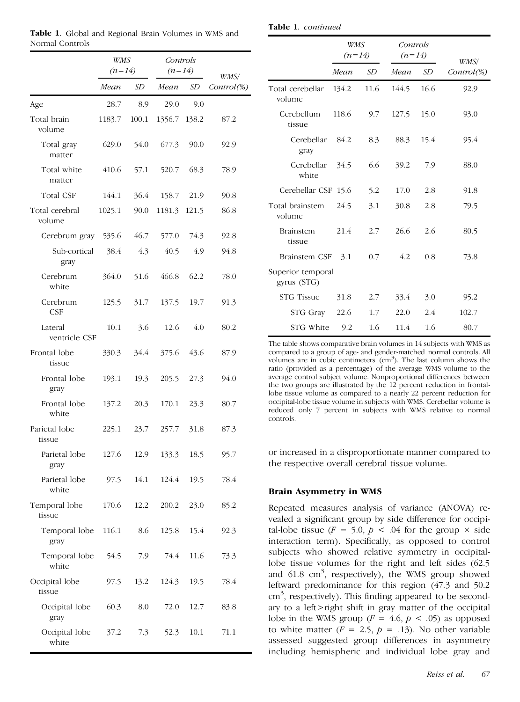|                          | WMS<br>$(n=14)$ |       | Controls<br>$(n=14)$ |       |                    |
|--------------------------|-----------------|-------|----------------------|-------|--------------------|
|                          | Mean            | SD    | Mean                 | SD    | WMS/<br>Control(%) |
| Age                      | 28.7            | 8.9   | 29.0                 | 9.0   |                    |
| Total brain<br>volume    | 1183.7          | 100.1 | 1356.7 138.2         |       | 87.2               |
| Total gray<br>matter     | 629.0           | 54.0  | 677.3                | 90.0  | 92.9               |
| Total white<br>matter    | 410.6           | 57.1  | 520.7                | 68.3  | 78.9               |
| Total CSF                | 144.1           | 36.4  | 158.7                | 21.9  | 90.8               |
| Total cerebral<br>volume | 1025.1          | 90.0  | 1181.3               | 121.5 | 86.8               |
| Cerebrum gray            | 535.6           | 46.7  | 577.0                | 74.3  | 92.8               |
| Sub-cortical<br>gray     | 38.4            | 4.3   | 40.5                 | 4.9   | 94.8               |
| Cerebrum<br>white        | 364.0           | 51.6  | 466.8                | 62.2  | 78.0               |
| Cerebrum<br>CSF          | 125.5           | 31.7  | 137.5                | 19.7  | 91.3               |
| Lateral<br>ventricle CSF | 10.1            | 3.6   | 12.6                 | 4.0   | 80.2               |
| Frontal lobe<br>tissue   | 330.3           | 34.4  | 375.6                | 43.6  | 87.9               |
| Frontal lobe<br>gray     | 193.1           | 19.3  | 205.5                | 27.3  | 94.0               |
| Frontal lobe<br>white    | 137.2           | 20.3  | 170.1                | 23.3  | 80.7               |
| Parietal lobe<br>tissue  | 225.1           | 23.7  | 257.7                | 31.8  | 87.3               |
| Parietal lobe<br>gray    | 127.6           | 12.9  | 133.3                | 18.5  | 95.7               |
| Parietal lobe<br>white   | 97.5            | 14.1  | 124.4                | 19.5  | 78.4               |
| Temporal lobe<br>tissue  | 170.6           | 12.2  | 200.2                | 23.0  | 85.2               |
| Temporal lobe<br>gray    | 116.1           | 8.6   | 125.8                | 15.4  | 92.3               |
| Temporal lobe<br>white   | 54.5            | 7.9   | 74.4                 | 11.6  | 73.3               |
| Occipital lobe<br>tissue | 97.5            | 13.2  | 124.3                | 19.5  | 78.4               |
| Occipital lobe<br>gray   | 60.3            | 8.0   | 72.0                 | 12.7  | 83.8               |
| Occipital lobe<br>white  | 37.2            | 7.3   | 52.3                 | 10.1  | 71.1               |

| <b>Table 1.</b> Global and Regional Brain Volumes in WMS and |  |  |  |  |  |
|--------------------------------------------------------------|--|--|--|--|--|
| Normal Controls                                              |  |  |  |  |  |

|  | <b>Table 1.</b> continued |
|--|---------------------------|
|--|---------------------------|

|                                  | WMS<br>$(n=14)$ |      | Controls<br>$(n=14)$ |      | WMS/          |  |
|----------------------------------|-----------------|------|----------------------|------|---------------|--|
|                                  | Mean            | SD.  | Mean                 | SD   | $Control(\%)$ |  |
| Total cerebellar<br>volume       | 134.2           | 11.6 | 144.5                | 16.6 | 92.9          |  |
| Cerebellum<br>tissue             | 118.6           | 9.7  | 127.5                | 15.0 | 93.0          |  |
| Cerebellar<br>gray               | 84.2            | 8.3  | 88.3                 | 15.4 | 95.4          |  |
| Cerebellar<br>white              | 34.5            | 6.6  | 39.2                 | 7.9  | 88.0          |  |
| Cerebellar CSF 15.6              |                 | 5.2  | 17.0                 | 2.8  | 91.8          |  |
| Total brainstem<br>volume        | 24.5            | 3.1  | 30.8                 | 2.8  | 79.5          |  |
| <b>Brainstem</b><br>tissue       | 21.4            | 2.7  | 26.6                 | 2.6  | 80.5          |  |
| Brainstem CSF                    | 3.1             | 0.7  | 4.2                  | 0.8  | 73.8          |  |
| Superior temporal<br>gyrus (STG) |                 |      |                      |      |               |  |
| <b>STG Tissue</b>                | 31.8            | 2.7  | 33.4                 | 3.0  | 95.2          |  |
| STG Gray                         | 22.6            | 1.7  | 22.0                 | 2.4  | 102.7         |  |
| STG White                        | 9.2             | 1.6  | 11.4                 | 1.6  | 80.7          |  |

The table shows comparative brain volumes in 14 subjects with WMS as compared to a group of age- and gender-matched normal controls. All volumes are in cubic centimeters  $(cm<sup>3</sup>)$ . The last column shows the ratio (provided as a percentage) of the average WMS volume to the average control subject volume. Nonproportional differences between the two groups are illustrated by the 12 percent reduction in frontallobe tissue volume as compared to a nearly 22 percent reduction for occipital-lobe tissue volume in subjects with WMS. Cerebellar volume is reduced only 7 percent in subjects with WMS relative to normal controls.

or increased in a disproportionate manner compared to the respective overall cerebral tissue volume.

## **Brain Asymmetry in WMS**

Repeated measures analysis of variance (ANOVA) revealed a significant group by side difference for occipital-lobe tissue ( $F = 5.0$ ,  $p < .04$  for the group  $\times$  side interaction term). Specifically, as opposed to control subjects who showed relative symmetry in occipitallobe tissue volumes for the right and left sides (62.5 and 61.8 cm 3 , respectively), the WMS group showed leftward predominance for this region (47.3 and 50.2 cm<sup>3</sup>, respectively). This finding appeared to be secondary to a left>right shift in gray matter of the occipital lobe in the WMS group  $(F = 4.6, p < .05)$  as opposed to white matter  $(F = 2.5, p = .13)$ . No other variable assessed suggested group differences in asymmetry including hemispheric and individual lobe gray and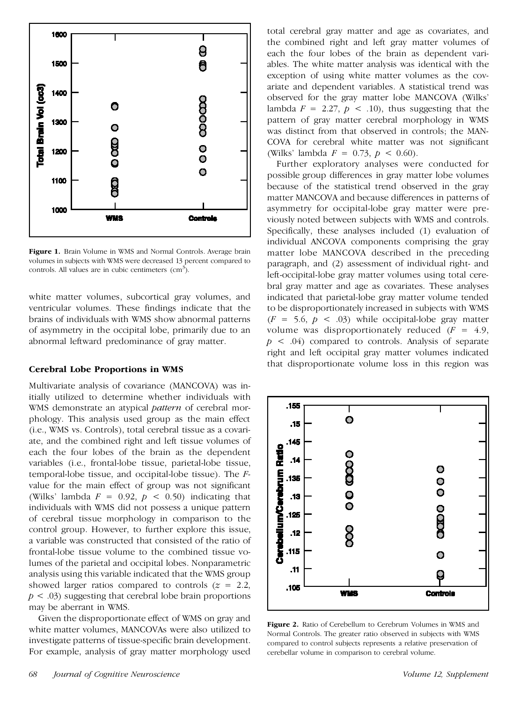

**Figure 1.** Brain Volume in WMS and Normal Controls. Average brain volumes in subjects with WMS were decreased 13 percent compared to controls. All values are in cubic centimeters  $\text{cm}^3$ ).

white matter volumes, subcortical gray volumes, and ventricular volumes. These findings indicate that the brains of individuals with WMS show abnormal patterns of asymmetry in the occipital lobe, primarily due to an abnormal leftward predominance of gray matter.

#### **Cerebral Lobe Proportions in WMS**

Multivariate analysis of covariance (MANCOVA) was initially utilized to determine whether individuals with WMS demonstrate an atypical *pattern* of cerebral morphology. This analysis used group as the main effect (i.e., WMS vs. Controls), total cerebral tissue as a covariate, and the combined right and left tissue volumes of each the four lobes of the brain as the dependent variables (i.e., frontal-lobe tissue, parietal-lobe tissue, temporal-lobe tissue, and occipital-lobe tissue). The *F* value for the main effect of group was not significant (Wilks' lambda  $F = 0.92$ ,  $p < 0.50$ ) indicating that individuals with WMS did not possess a unique pattern of cerebral tissue morphology in comparison to the control group. However, to further explore this issue, a variable was constructed that consisted of the ratio of frontal-lobe tissue volume to the combined tissue volumes of the parietal and occipital lobes. Nonparametric analysis using this variable indicated that the WMS group showed larger ratios compared to controls  $(z = 2.2, z)$ *p* < .03) suggesting that cerebral lobe brain proportions may be aberrant in WMS.

Given the disproportionate effect of WMS on gray and white matter volumes, MANCOVAs were also utilized to investigate patterns of tissue-specific brain development. For example, analysis of gray matter morphology used

total cerebral gray matter and age as covariates, and the combined right and left gray matter volumes of each the four lobes of the brain as dependent variables. The white matter analysis was identical with the exception of using white matter volumes as the covariate and dependent variables. A statistical trend was observed for the gray matter lobe MANCOVA (Wilks' lambda  $F = 2.27$ ,  $p < .10$ ), thus suggesting that the pattern of gray matter cerebral morphology in WMS was distinct from that observed in controls; the MAN-COVA for cerebral white matter was not significant (Wilks' lambda *F* = 0.73, *p* < 0.60).

Further exploratory analyses were conducted for possible group differences in gray matter lobe volumes because of the statistical trend observed in the gray matter MANCOVA and because differences in patterns of asymmetry for occipital-lobe gray matter were previously noted between subjects with WMS and controls. Specifically, these analyses included (1) evaluation of individual ANCOVA components comprising the gray matter lobe MANCOVA described in the preceding paragraph, and (2) assessment of individual right- and left-occipital-lobe gray matter volumes using total cerebral gray matter and age as covariates. These analyses indicated that parietal-lobe gray matter volume tended to be disproportionately increased in subjects with WMS  $(F = 5.6, p < .03)$  while occipital-lobe gray matter volume was disproportionately reduced  $(F = 4.9,$ *p* < .04) compared to controls. Analysis of separate right and left occipital gray matter volumes indicated that disproportionate volume loss in this region was



**Figure 2.** Ratio of Cerebellum to Cerebrum Volumes in WMS and Normal Controls. The greater ratio observed in subjects with WMS compared to control subjects represents a relative preservation of cerebellar volume in comparison to cerebral volume.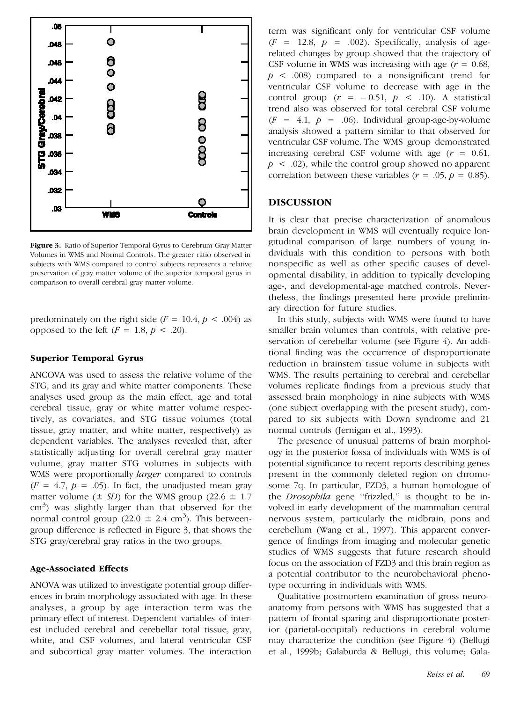

**Figure 3.** Ratio of Superior Temporal Gyrus to Cerebrum Gray Matter Volumes in WMS and Normal Controls. The greater ratio observed in subjects with WMS compared to control subjects represents a relative preservation of gray matter volume of the superior temporal gyrus in comparison to overall cerebral gray matter volume.

predominately on the right side  $(F = 10.4, p < .004)$  as opposed to the left  $(F = 1.8, p < .20)$ .

## **Superior Temporal Gyrus**

ANCOVA was used to assess the relative volume of the STG, and its gray and white matter components. These analyses used group as the main effect, age and total cerebral tissue, gray or white matter volume respectively, as covariates, and STG tissue volumes (total tissue, gray matter, and white matter, respectively) as dependent variables. The analyses revealed that, after statistically adjusting for overall cerebral gray matter volume, gray matter STG volumes in subjects with WMS were proportionally *larger* compared to controls  $(F = 4.7, p = .05)$ . In fact, the unadjusted mean gray matter volume  $(\pm SD)$  for the WMS group (22.6  $\pm 1.7$  $\text{cm}^3$ ) was slightly larger than that observed for the normal control group (22.0  $\pm$  2.4 cm<sup>3</sup>). This betweengroup difference is reflected in Figure 3, that shows the STG gray/cerebral gray ratios in the two groups.

#### **Age-Associated Effects**

ANOVA was utilized to investigate potential group differences in brain morphology associated with age. In these analyses, a group by age interaction term was the primary effect of interest. Dependent variables of interest included cerebral and cerebellar total tissue, gray, white, and CSF volumes, and lateral ventricular CSF and subcortical gray matter volumes. The interaction

term was significant only for ventricular CSF volume  $(F = 12.8, p = .002)$ . Specifically, analysis of agerelated changes by group showed that the trajectory of CSF volume in WMS was increasing with age  $(r = 0.68)$ , *p* < .008) compared to a nonsignificant trend for ventricular CSF volume to decrease with age in the control group  $(r = -0.51, p < .10)$ . A statistical trend also was observed for total cerebral CSF volume  $(F = 4.1, p = .06)$ . Individual group-age-by-volume analysis showed a pattern similar to that observed for ventricular CSF volume. The WMS group demonstrated increasing cerebral CSF volume with age  $(r = 0.61,$  $p \leq 0.02$ , while the control group showed no apparent correlation between these variables ( $r = .05$ ,  $p = 0.85$ ).

#### **DISCUSSION**

It is clear that precise characterization of anomalous brain development in WMS will eventually require longitudinal comparison of large numbers of young individuals with this condition to persons with both nonspecific as well as other specific causes of developmental disability, in addition to typically developing age-, and developmental-age matched controls. Nevertheless, the findings presented here provide preliminary direction for future studies.

In this study, subjects with WMS were found to have smaller brain volumes than controls, with relative preservation of cerebellar volume (see Figure 4). An additional finding was the occurrence of disproportionate reduction in brainstem tissue volume in subjects with WMS. The results pertaining to cerebral and cerebellar volumes replicate findings from a previous study that assessed brain morphology in nine subjects with WMS (one subject overlapping with the present study), compared to six subjects with Down syndrome and 21 normal controls (Jernigan et al., 1993).

The presence of unusual patterns of brain morphology in the posterior fossa of individuals with WMS is of potential significance to recent reports describing genes present in the commonly deleted region on chromosome 7q. In particular, FZD3, a human homologue of the *Drosophila* gene ''frizzled,'' is thought to be involved in early development of the mammalian central nervous system, particularly the midbrain, pons and cerebellum (Wang et al., 1997). This apparent convergence of findings from imaging and molecular genetic studies of WMS suggests that future research should focus on the association of FZD3 and this brain region as a potential contributor to the neurobehavioral phenotype occurring in individuals with WMS.

Qualitative postmortem examination of gross neuroanatomy from persons with WMS has suggested that a pattern of frontal sparing and disproportionate posterior (parietal-occipital) reductions in cerebral volume may characterize the condition (see Figure 4) (Bellugi et al., 1999b; Galaburda & Bellugi, this volume; Gala-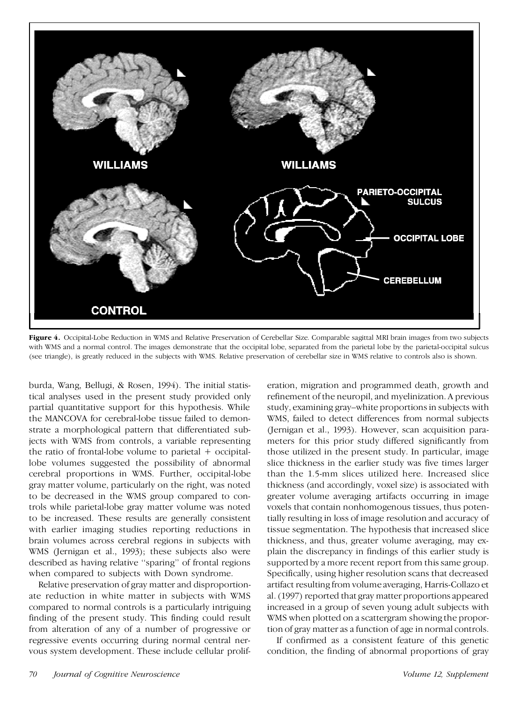

**Figure 4.** Occipital-Lobe Reduction in WMS and Relative Preservation of Cerebellar Size. Comparable sagittal MRI brain images from two subjects with WMS and a normal control. The images demonstrate that the occipital lobe, separated from the parietal lobe by the parietal-occipital sulcus (see triangle), is greatly reduced in the subjects with WMS. Relative preservation of cerebellar size in WMS relative to controls also is shown.

burda, Wang, Bellugi, & Rosen, 1994). The initial statistical analyses used in the present study provided only partial quantitative support for this hypothesis. While the MANCOVA for cerebral-lobe tissue failed to demonstrate a morphological pattern that differentiated subjects with WMS from controls, a variable representing the ratio of frontal-lobe volume to parietal + occipitallobe volumes suggested the possibility of abnormal cerebral proportions in WMS. Further, occipital-lobe gray matter volume, particularly on the right, was noted to be decreased in the WMS group compared to controls while parietal-lobe gray matter volume was noted to be increased. These results are generally consistent with earlier imaging studies reporting reductions in brain volumes across cerebral regions in subjects with WMS (Jernigan et al., 1993); these subjects also were described as having relative ''sparing'' of frontal regions when compared to subjects with Down syndrome.

Relative preservation of gray matter and disproportionate reduction in white matter in subjects with WMS compared to normal controls is a particularly intriguing finding of the present study. This finding could result from alteration of any of a number of progressive or regressive events occurring during normal central nervous system development. These include cellular proliferation, migration and programmed death, growth and refinement of the neuropil, and myelinization. A previous study, examining gray–white proportions in subjects with WMS, failed to detect differences from normal subjects (Jernigan et al., 1993). However, scan acquisition parameters for this prior study differed significantly from those utilized in the present study. In particular, image slice thickness in the earlier study was five times larger than the 1.5-mm slices utilized here. Increased slice thickness (and accordingly, voxel size) is associated with greater volume averaging artifacts occurring in image voxels that contain nonhomogenous tissues, thus potentially resulting in loss of image resolution and accuracy of tissue segmentation. The hypothesis that increased slice thickness, and thus, greater volume averaging, may explain the discrepancy in findings of this earlier study is supported by a more recent report from this same group. Specifically, using higher resolution scans that decreased artifact resulting from volume averaging, Harris-Collazo et al.(1997) reported that gray matter proportions appeared increased in a group of seven young adult subjects with WMS when plotted on a scattergram showing the proportion of gray matter as a function of age in normal controls.

If confirmed as a consistent feature of this genetic condition, the finding of abnormal proportions of gray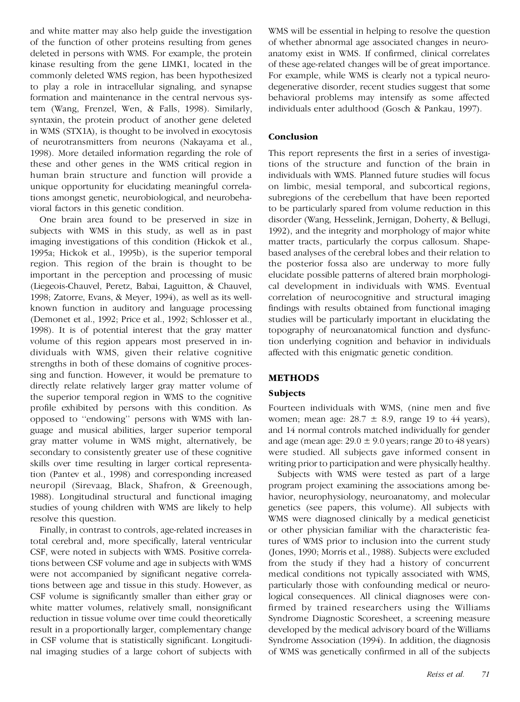and white matter may also help guide the investigation of the function of other proteins resulting from genes deleted in persons with WMS. For example, the protein kinase resulting from the gene LIMK1, located in the commonly deleted WMS region, has been hypothesized to play a role in intracellular signaling, and synapse formation and maintenance in the central nervous system (Wang, Frenzel, Wen, & Falls, 1998). Similarly, syntaxin, the protein product of another gene deleted in WMS (STX1A), is thought to be involved in exocytosis of neurotransmitters from neurons (Nakayama et al., 1998). More detailed information regarding the role of these and other genes in the WMS critical region in human brain structure and function will provide a unique opportunity for elucidating meaningful correlations amongst genetic, neurobiological, and neurobehavioral factors in this genetic condition.

One brain area found to be preserved in size in subjects with WMS in this study, as well as in past imaging investigations of this condition (Hickok et al., 1995a; Hickok et al., 1995b), is the superior temporal region. This region of the brain is thought to be important in the perception and processing of music (Liegeois-Chauvel, Peretz, Babai, Laguitton, & Chauvel, 1998; Zatorre, Evans, & Meyer, 1994), as well as its wellknown function in auditory and language processing (Demonet et al., 1992; Price et al., 1992; Schlosser et al., 1998). It is of potential interest that the gray matter volume of this region appears most preserved in individuals with WMS, given their relative cognitive strengths in both of these domains of cognitive processing and function. However, it would be premature to directly relate relatively larger gray matter volume of the superior temporal region in WMS to the cognitive profile exhibited by persons with this condition. As opposed to ''endowing'' persons with WMS with language and musical abilities, larger superior temporal gray matter volume in WMS might, alternatively, be secondary to consistently greater use of these cognitive skills over time resulting in larger cortical representation (Pantev et al., 1998) and corresponding increased neuropil (Sirevaag, Black, Shafron, & Greenough, 1988). Longitudinal structural and functional imaging studies of young children with WMS are likely to help resolve this question.

Finally, in contrast to controls, age-related increases in total cerebral and, more specifically, lateral ventricular CSF, were noted in subjects with WMS. Positive correlations between CSF volume and age in subjects with WMS were not accompanied by significant negative correlations between age and tissue in this study. However, as CSF volume is significantly smaller than either gray or white matter volumes, relatively small, nonsignificant reduction in tissue volume over time could theoretically result in a proportionally larger, complementary change in CSF volume that is statistically significant. Longitudinal imaging studies of a large cohort of subjects with WMS will be essential in helping to resolve the question of whether abnormal age associated changes in neuroanatomy exist in WMS. If confirmed, clinical correlates of these age-related changes will be of great importance. For example, while WMS is clearly not a typical neurodegenerative disorder, recent studies suggest that some behavioral problems may intensify as some affected individuals enter adulthood (Gosch & Pankau, 1997).

## **Conclusion**

This report represents the first in a series of investigations of the structure and function of the brain in individuals with WMS. Planned future studies will focus on limbic, mesial temporal, and subcortical regions, subregions of the cerebellum that have been reported to be particularly spared from volume reduction in this disorder (Wang, Hesselink, Jernigan, Doherty, & Bellugi, 1992), and the integrity and morphology of major white matter tracts, particularly the corpus callosum. Shapebased analyses of the cerebral lobes and their relation to the posterior fossa also are underway to more fully elucidate possible patterns of altered brain morphological development in individuals with WMS. Eventual correlation of neurocognitive and structural imaging findings with results obtained from functional imaging studies will be particularly important in elucidating the topography of neuroanatomical function and dysfunction underlying cognition and behavior in individuals affected with this enigmatic genetic condition.

# **METHODS**

# **Subjects**

Fourteen individuals with WMS, (nine men and five women; mean age:  $28.7 \pm 8.9$ , range 19 to 44 years), and 14 normal controls matched individually for gender and age (mean age:  $29.0 \pm 9.0$  years; range 20 to 48 years) were studied. All subjects gave informed consent in writing prior to participation and were physically healthy.

Subjects with WMS were tested as part of a large program project examining the associations among behavior, neurophysiology, neuroanatomy, and molecular genetics (see papers, this volume). All subjects with WMS were diagnosed clinically by a medical geneticist or other physician familiar with the characteristic features of WMS prior to inclusion into the current study (Jones, 1990; Morris et al., 1988). Subjects were excluded from the study if they had a history of concurrent medical conditions not typically associated with WMS, particularly those with confounding medical or neurological consequences. All clinical diagnoses were confirmed by trained researchers using the Williams Syndrome Diagnostic Scoresheet, a screening measure developed by the medical advisory board of the Williams Syndrome Association (1994). In addition, the diagnosis of WMS was genetically confirmed in all of the subjects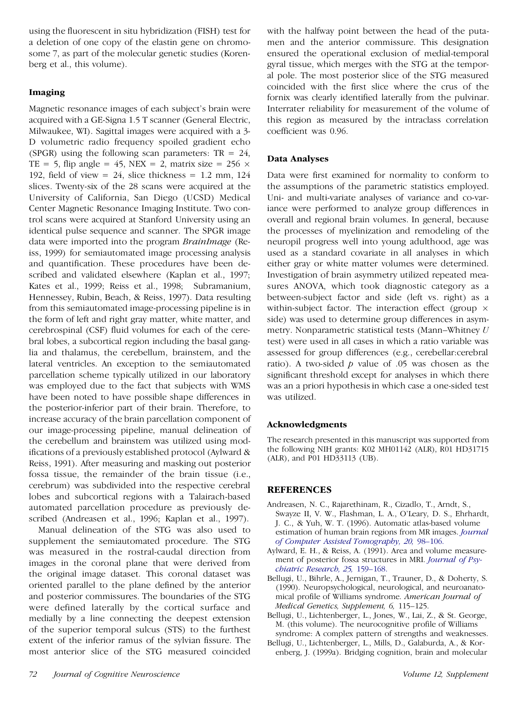using the fluorescent in situ hybridization (FISH) test for a deletion of one copy of the elastin gene on chromosome 7, as part of the molecular genetic studies (Korenberg et al., this volume).

## **Imaging**

Magnetic resonance images of each subject's brain were acquired with a GE-Signa 1.5 T scanner (General Electric, Milwaukee, WI). Sagittal images were acquired with a 3- D volumetric radio frequency spoiled gradient echo (SPGR) using the following scan parameters:  $TR = 24$ , TE = 5, flip angle = 45, NEX = 2, matrix size =  $256 \times$ 192, field of view = 24, slice thickness = 1.2 mm,  $124$ slices. Twenty-six of the 28 scans were acquired at the University of California, San Diego (UCSD) Medical Center Magnetic Resonance Imaging Institute. Two control scans were acquired at Stanford University using an identical pulse sequence and scanner. The SPGR image data were imported into the program *BrainImage* (Reiss, 1999) for semiautomated image processing analysis and quantification. These procedures have been described and validated elsewhere (Kaplan et al., 1997; Kates et al., 1999; Reiss et al., 1998; Subramanium, Hennessey, Rubin, Beach, & Reiss, 1997). Data resulting from this semiautomated image-processing pipeline is in the form of left and right gray matter, white matter, and cerebrospinal (CSF) fluid volumes for each of the cerebral lobes, a subcortical region including the basal ganglia and thalamus, the cerebellum, brainstem, and the lateral ventricles. An exception to the semiautomated parcellation scheme typically utilized in our laboratory was employed due to the fact that subjects with WMS have been noted to have possible shape differences in the posterior-inferior part of their brain. Therefore, to increase accuracy of the brain parcellation component of our image-processing pipeline, manual delineation of the cerebellum and brainstem was utilized using modifications of a previously established protocol (Aylward & Reiss, 1991). After measuring and masking out posterior fossa tissue, the remainder of the brain tissue (i.e., cerebrum) was subdivided into the respective cerebral lobes and subcortical regions with a Talairach-based automated parcellation procedure as previously described (Andreasen et al., 1996; Kaplan et al., 1997).

Manual delineation of the STG was also used to supplement the semiautomated procedure. The STG was measured in the rostral-caudal direction from images in the coronal plane that were derived from the original image dataset. This coronal dataset was oriented parallel to the plane defined by the anterior and posterior commissures. The boundaries of the STG were defined laterally by the cortical surface and medially by a line connecting the deepest extension of the superior temporal sulcus (STS) to the furthest extent of the inferior ramus of the sylvian fissure. The most anterior slice of the STG measured coincided

with the halfway point between the head of the putamen and the anterior commissure. This designation ensured the operational exclusion of medial-temporal gyral tissue, which merges with the STG at the temporal pole. The most posterior slice of the STG measured coincided with the first slice where the crus of the fornix was clearly identified laterally from the pulvinar. Interrater reliability for measurement of the volume of this region as measured by the intraclass correlation coefficient was 0.96.

## **Data Analyses**

Data were first examined for normality to conform to the assumptions of the parametric statistics employed. Uni- and multi-variate analyses of variance and co-variance were performed to analyze group differences in overall and regional brain volumes. In general, because the processes of myelinization and remodeling of the neuropil progress well into young adulthood, age was used as a standard covariate in all analyses in which either gray or white matter volumes were determined. Investigation of brain asymmetry utilized repeated measures ANOVA, which took diagnostic category as a between-subject factor and side (left vs. right) as a within-subject factor. The interaction effect (group  $\times$ side) was used to determine group differences in asymmetry. Nonparametric statistical tests (Mann–Whitney *U* test) were used in all cases in which a ratio variable was assessed for group differences (e.g., cerebellar:cerebral ratio). A two-sided *p* value of .05 was chosen as the significant threshold except for analyses in which there was an a priori hypothesis in which case a one-sided test was utilized.

## **Acknowledgments**

The research presented in this manuscript was supported from the following NIH grants: K02 MH01142 (ALR), R01 HD31715 (ALR), and P01 HD33113 (UB).

## **REFERENCES**

- Andreasen, N. C., Rajarethinam, R., Cizadlo, T., Arndt, S., Swayze II, V. W., Flashman, L. A., O'Leary, D. S., Ehrhardt, J. C., & Yuh, W. T. (1996). Automatic atlas-based volume estimation of human brain regions from MR images. *[Journal](http://pinkerton.catchword.com/nw=1/rpsv/0363-8715^28^2920L.98[csa=0363-8715^26vol=20^26iss=1^26firstpage=98,nlm=8576490]) of Computer Assisted [Tomography,](http://pinkerton.catchword.com/nw=1/rpsv/0363-8715^28^2920L.98[csa=0363-8715^26vol=20^26iss=1^26firstpage=98,nlm=8576490]) 20,* 98–106.
- Aylward, E. H., & Reiss, A. (1991). Area and volume measure ment of posterior fossa structures in MRI. *[Journal](http://pinkerton.catchword.com/nw=1/rpsv/0022-3956^28^2925L.159[csa=0022-3956^26vol=25^26iss=4^26firstpage=159,nlm=1723429]) of Psychiatric [Research,](http://pinkerton.catchword.com/nw=1/rpsv/0022-3956^28^2925L.159[csa=0022-3956^26vol=25^26iss=4^26firstpage=159,nlm=1723429]) 25,* 159–168.
- Bellugi, U., Bihrle, A., Jernigan, T., Trauner, D., & Doherty, S. (1990). Neuropsychological, neurological, and neuroanatomical profile of Williams syndrome. *American Journal of Medical Genetics, Supplement, 6,* 115–125.
- Bellugi, U., Lichtenberger, L., Jones, W., Lai, Z., & St. George, M. (this volume). The neurocognitive profile of Williams syndrome: A complex pattern of strengths and weaknesses.
- Bellugi, U., Lichtenberger, L., Mills, D., Galaburda, A., & Korenberg, J. (1999a). Bridging cognition, brain and molecular